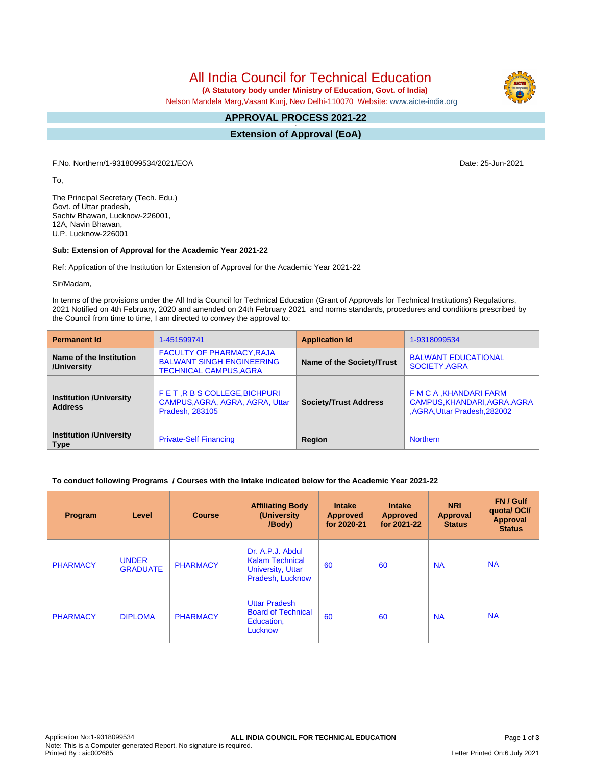All India Council for Technical Education

 **(A Statutory body under Ministry of Education, Govt. of India)**

Nelson Mandela Marg,Vasant Kunj, New Delhi-110070 Website: [www.aicte-india.org](http://www.aicte-india.org)

#### **APPROVAL PROCESS 2021-22 -**

**Extension of Approval (EoA)**

F.No. Northern/1-9318099534/2021/EOA Date: 25-Jun-2021

To,

The Principal Secretary (Tech. Edu.) Govt. of Uttar pradesh, Sachiv Bhawan, Lucknow-226001, 12A, Navin Bhawan, U.P. Lucknow-226001

### **Sub: Extension of Approval for the Academic Year 2021-22**

Ref: Application of the Institution for Extension of Approval for the Academic Year 2021-22

Sir/Madam,

In terms of the provisions under the All India Council for Technical Education (Grant of Approvals for Technical Institutions) Regulations, 2021 Notified on 4th February, 2020 and amended on 24th February 2021 and norms standards, procedures and conditions prescribed by the Council from time to time, I am directed to convey the approval to:

| <b>Permanent Id</b>                              | 1-451599741                                                                                           | <b>Application Id</b>        | 1-9318099534                                                                            |  |
|--------------------------------------------------|-------------------------------------------------------------------------------------------------------|------------------------------|-----------------------------------------------------------------------------------------|--|
| Name of the Institution<br>/University           | <b>FACULTY OF PHARMACY, RAJA</b><br><b>BALWANT SINGH ENGINEERING</b><br><b>TECHNICAL CAMPUS, AGRA</b> | Name of the Society/Trust    | <b>BALWANT EDUCATIONAL</b><br>SOCIETY, AGRA                                             |  |
| <b>Institution /University</b><br><b>Address</b> | FET, R B S COLLEGE, BICHPURI<br>CAMPUS, AGRA, AGRA, AGRA, Uttar<br><b>Pradesh, 283105</b>             | <b>Society/Trust Address</b> | F M C A , KHANDARI FARM<br>CAMPUS, KHANDARI, AGRA, AGRA<br>,AGRA, Uttar Pradesh, 282002 |  |
| <b>Institution /University</b><br><b>Type</b>    | <b>Private-Self Financing</b>                                                                         |                              | <b>Northern</b>                                                                         |  |

## **To conduct following Programs / Courses with the Intake indicated below for the Academic Year 2021-22**

| <b>Program</b>  | Level                           | <b>Course</b>   | <b>Affiliating Body</b><br>(University)<br>/Body)                                          | <b>Intake</b><br><b>Approved</b><br>for 2020-21 | <b>Intake</b><br><b>Approved</b><br>for 2021-22 | <b>NRI</b><br><b>Approval</b><br><b>Status</b> | FN / Gulf<br>quotal OCI/<br>Approval<br><b>Status</b> |
|-----------------|---------------------------------|-----------------|--------------------------------------------------------------------------------------------|-------------------------------------------------|-------------------------------------------------|------------------------------------------------|-------------------------------------------------------|
| <b>PHARMACY</b> | <b>UNDER</b><br><b>GRADUATE</b> | <b>PHARMACY</b> | Dr. A.P.J. Abdul<br><b>Kalam Technical</b><br><b>University, Uttar</b><br>Pradesh, Lucknow | 60                                              | 60                                              | <b>NA</b>                                      | <b>NA</b>                                             |
| <b>PHARMACY</b> | <b>DIPLOMA</b>                  | <b>PHARMACY</b> | <b>Uttar Pradesh</b><br><b>Board of Technical</b><br>Education,<br>Lucknow                 | 60                                              | 60                                              | <b>NA</b>                                      | <b>NA</b>                                             |